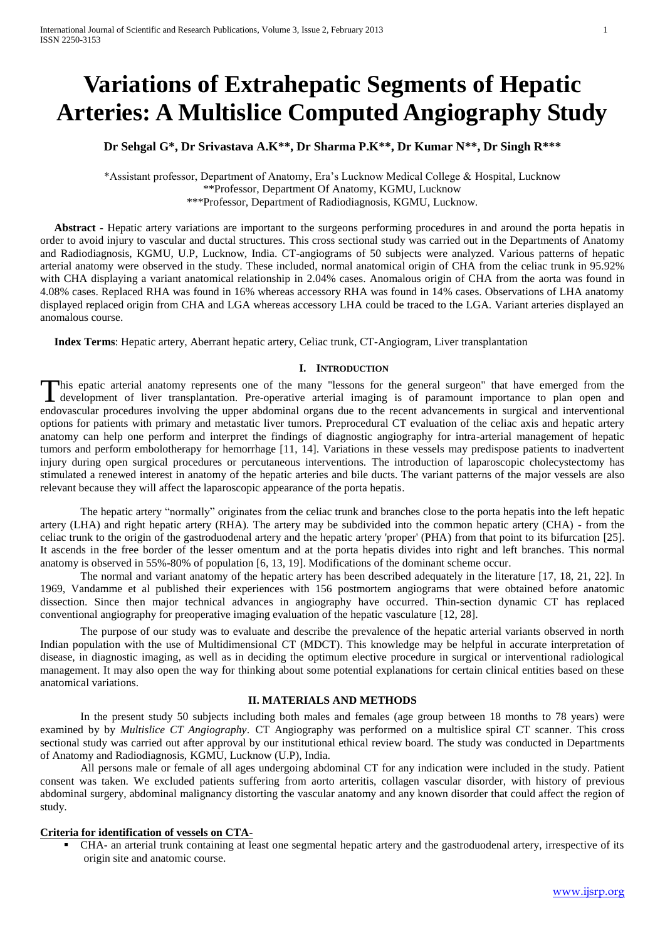# **Variations of Extrahepatic Segments of Hepatic Arteries: A Multislice Computed Angiography Study**

**Dr Sehgal G\*, Dr Srivastava A.K\*\*, Dr Sharma P.K\*\*, Dr Kumar N\*\*, Dr Singh R\*\*\***

\*Assistant professor, Department of Anatomy, Era's Lucknow Medical College & Hospital, Lucknow \*\*Professor, Department Of Anatomy, KGMU, Lucknow \*\*\*Professor, Department of Radiodiagnosis, KGMU, Lucknow.

 **Abstract -** Hepatic artery variations are important to the surgeons performing procedures in and around the porta hepatis in order to avoid injury to vascular and ductal structures. This cross sectional study was carried out in the Departments of Anatomy and Radiodiagnosis, KGMU, U.P, Lucknow, India. CT-angiograms of 50 subjects were analyzed. Various patterns of hepatic arterial anatomy were observed in the study. These included, normal anatomical origin of CHA from the celiac trunk in 95.92% with CHA displaying a variant anatomical relationship in 2.04% cases. Anomalous origin of CHA from the aorta was found in 4.08% cases. Replaced RHA was found in 16% whereas accessory RHA was found in 14% cases. Observations of LHA anatomy displayed replaced origin from CHA and LGA whereas accessory LHA could be traced to the LGA. Variant arteries displayed an anomalous course.

 **Index Terms**: Hepatic artery, Aberrant hepatic artery, Celiac trunk, CT-Angiogram, Liver transplantation

#### **I. INTRODUCTION**

his epatic arterial anatomy represents one of the many "lessons for the general surgeon" that have emerged from the This epatic arterial anatomy represents one of the many "lessons for the general surgeon" that have emerged from the development of liver transplantation. Pre-operative arterial imaging is of paramount importance to plan o endovascular procedures involving the upper abdominal organs due to the recent advancements in surgical and interventional options for patients with primary and metastatic liver tumors. Preprocedural CT evaluation of the celiac axis and hepatic artery anatomy can help one perform and interpret the findings of diagnostic angiography for intra-arterial management of hepatic tumors and perform embolotherapy for hemorrhage [11, 14]. Variations in these vessels may predispose patients to inadvertent injury during open surgical procedures or percutaneous interventions. The introduction of laparoscopic cholecystectomy has stimulated a renewed interest in anatomy of the hepatic arteries and bile ducts. The variant patterns of the major vessels are also relevant because they will affect the laparoscopic appearance of the porta hepatis.

The hepatic artery "normally" originates from the celiac trunk and branches close to the porta hepatis into the left hepatic artery (LHA) and right hepatic artery (RHA). The artery may be subdivided into the common hepatic artery (CHA) - from the celiac trunk to the origin of the gastroduodenal artery and the hepatic artery 'proper' (PHA) from that point to its bifurcation [25]. It ascends in the free border of the lesser omentum and at the porta hepatis divides into right and left branches. This normal anatomy is observed in 55%-80% of population [6, 13, 19]. Modifications of the dominant scheme occur.

The normal and variant anatomy of the hepatic artery has been described adequately in the literature [17, 18, 21, 22]. In 1969, Vandamme et al published their experiences with 156 postmortem angiograms that were obtained before anatomic dissection. Since then major technical advances in angiography have occurred. Thin-section dynamic CT has replaced conventional angiography for preoperative imaging evaluation of the hepatic vasculature [12, 28].

The purpose of our study was to evaluate and describe the prevalence of the hepatic arterial variants observed in north Indian population with the use of Multidimensional CT (MDCT). This knowledge may be helpful in accurate interpretation of disease, in diagnostic imaging, as well as in deciding the optimum elective procedure in surgical or interventional radiological management. It may also open the way for thinking about some potential explanations for certain clinical entities based on these anatomical variations.

#### **II. MATERIALS AND METHODS**

In the present study 50 subjects including both males and females (age group between 18 months to 78 years) were examined by by *Multislice CT Angiography*. CT Angiography was performed on a multislice spiral CT scanner. This cross sectional study was carried out after approval by our institutional ethical review board. The study was conducted in Departments of Anatomy and Radiodiagnosis, KGMU, Lucknow (U.P), India.

All persons male or female of all ages undergoing abdominal CT for any indication were included in the study. Patient consent was taken. We excluded patients suffering from aorto arteritis, collagen vascular disorder, with history of previous abdominal surgery, abdominal malignancy distorting the vascular anatomy and any known disorder that could affect the region of study.

#### **Criteria for identification of vessels on CTA-**

 CHA- an arterial trunk containing at least one segmental hepatic artery and the gastroduodenal artery, irrespective of its origin site and anatomic course.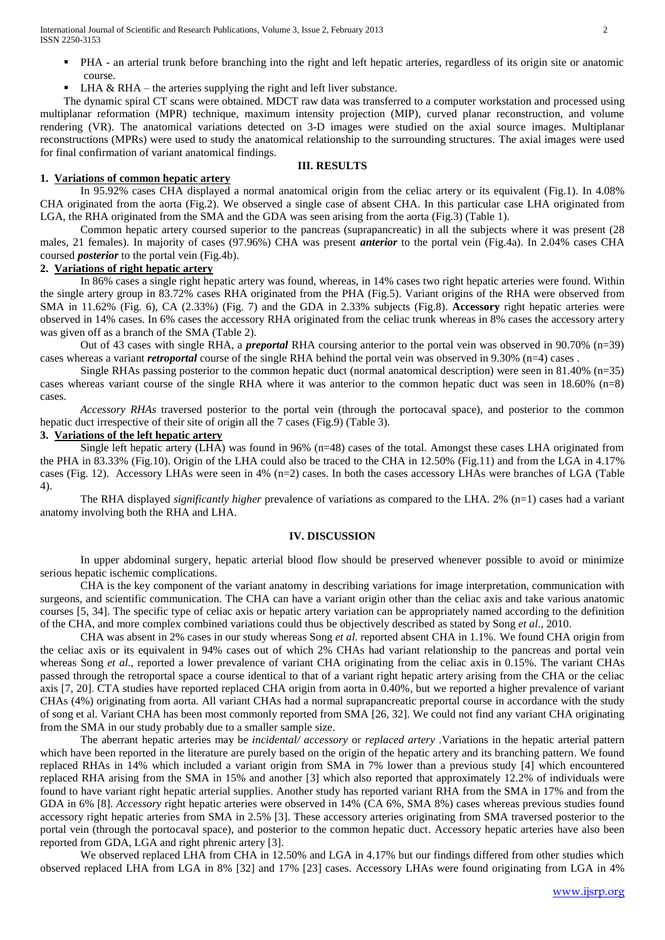International Journal of Scientific and Research Publications, Volume 3, Issue 2, February 2013 2 ISSN 2250-3153

- PHA an arterial trunk before branching into the right and left hepatic arteries, regardless of its origin site or anatomic course.
- LHA  $&$  RHA the arteries supplying the right and left liver substance.

The dynamic spiral CT scans were obtained. MDCT raw data was transferred to a computer workstation and processed using multiplanar reformation (MPR) technique, maximum intensity projection (MIP), curved planar reconstruction, and volume rendering (VR). The anatomical variations detected on 3-D images were studied on the axial source images. Multiplanar reconstructions (MPRs) were used to study the anatomical relationship to the surrounding structures. The axial images were used for final confirmation of variant anatomical findings.

#### **III. RESULTS**

#### **1. Variations of common hepatic artery**

In 95.92% cases CHA displayed a normal anatomical origin from the celiac artery or its equivalent (Fig.1). In 4.08% CHA originated from the aorta (Fig.2). We observed a single case of absent CHA. In this particular case LHA originated from LGA, the RHA originated from the SMA and the GDA was seen arising from the aorta (Fig.3) (Table 1).

Common hepatic artery coursed superior to the pancreas (suprapancreatic) in all the subjects where it was present (28 males, 21 females). In majority of cases (97.96%) CHA was present *anterior* to the portal vein (Fig.4a). In 2.04% cases CHA coursed *posterior* to the portal vein (Fig.4b).

## **2. Variations of right hepatic artery**

In 86% cases a single right hepatic artery was found, whereas, in 14% cases two right hepatic arteries were found. Within the single artery group in 83.72% cases RHA originated from the PHA (Fig.5). Variant origins of the RHA were observed from SMA in 11.62% (Fig. 6), CA (2.33%) (Fig. 7) and the GDA in 2.33% subjects (Fig.8). **Accessory** right hepatic arteries were observed in 14% cases. In 6% cases the accessory RHA originated from the celiac trunk whereas in 8% cases the accessory artery was given off as a branch of the SMA (Table 2).

Out of 43 cases with single RHA, a *preportal* RHA coursing anterior to the portal vein was observed in 90.70% (n=39) cases whereas a variant *retroportal* course of the single RHA behind the portal vein was observed in 9.30% (n=4) cases.

Single RHAs passing posterior to the common hepatic duct (normal anatomical description) were seen in 81.40% (n=35) cases whereas variant course of the single RHA where it was anterior to the common hepatic duct was seen in 18.60% (n=8) cases.

*Accessory RHAs* traversed posterior to the portal vein (through the portocaval space), and posterior to the common hepatic duct irrespective of their site of origin all the 7 cases (Fig.9) (Table 3).

#### **3. Variations of the left hepatic artery**

Single left hepatic artery  $(LHA)$  was found in 96% (n=48) cases of the total. Amongst these cases LHA originated from the PHA in 83.33% (Fig.10). Origin of the LHA could also be traced to the CHA in 12.50% (Fig.11) and from the LGA in 4.17% cases (Fig. 12). Accessory LHAs were seen in 4% (n=2) cases. In both the cases accessory LHAs were branches of LGA (Table 4).

The RHA displayed *significantly higher* prevalence of variations as compared to the LHA. 2% (n=1) cases had a variant anatomy involving both the RHA and LHA.

#### **IV. DISCUSSION**

In upper abdominal surgery, hepatic arterial blood flow should be preserved whenever possible to avoid or minimize serious hepatic ischemic complications.

CHA is the key component of the variant anatomy in describing variations for image interpretation, communication with surgeons, and scientific communication. The CHA can have a variant origin other than the celiac axis and take various anatomic courses [5, 34]. The specific type of celiac axis or hepatic artery variation can be appropriately named according to the definition of the CHA, and more complex combined variations could thus be objectively described as stated by Song *et al*., 2010.

CHA was absent in 2% cases in our study whereas Song *et al*. reported absent CHA in 1.1%. We found CHA origin from the celiac axis or its equivalent in 94% cases out of which 2% CHAs had variant relationship to the pancreas and portal vein whereas Song *et al*., reported a lower prevalence of variant CHA originating from the celiac axis in 0.15%. The variant CHAs passed through the retroportal space a course identical to that of a variant right hepatic artery arising from the CHA or the celiac axis [7, 20]. CTA studies have reported replaced CHA origin from aorta in 0.40%, but we reported a higher prevalence of variant CHAs (4%) originating from aorta. All variant CHAs had a normal suprapancreatic preportal course in accordance with the study of song et al. Variant CHA has been most commonly reported from SMA [26, 32]. We could not find any variant CHA originating from the SMA in our study probably due to a smaller sample size.

The aberrant hepatic arteries may be *incidental/ accessory* or *replaced artery .*Variations in the hepatic arterial pattern which have been reported in the literature are purely based on the origin of the hepatic artery and its branching pattern. We found replaced RHAs in 14% which included a variant origin from SMA in 7% lower than a previous study [4] which encountered replaced RHA arising from the SMA in 15% and another [3] which also reported that approximately 12.2% of individuals were found to have variant right hepatic arterial supplies. Another study has reported variant RHA from the SMA in 17% and from the GDA in 6% [8]. *Accessory* right hepatic arteries were observed in 14% (CA 6%, SMA 8%) cases whereas previous studies found accessory right hepatic arteries from SMA in 2.5% [3]. These accessory arteries originating from SMA traversed posterior to the portal vein (through the portocaval space), and posterior to the common hepatic duct. Accessory hepatic arteries have also been reported from GDA, LGA and right phrenic artery [3].

We observed replaced LHA from CHA in 12.50% and LGA in 4.17% but our findings differed from other studies which observed replaced LHA from LGA in 8% [32] and 17% [23] cases. Accessory LHAs were found originating from LGA in 4%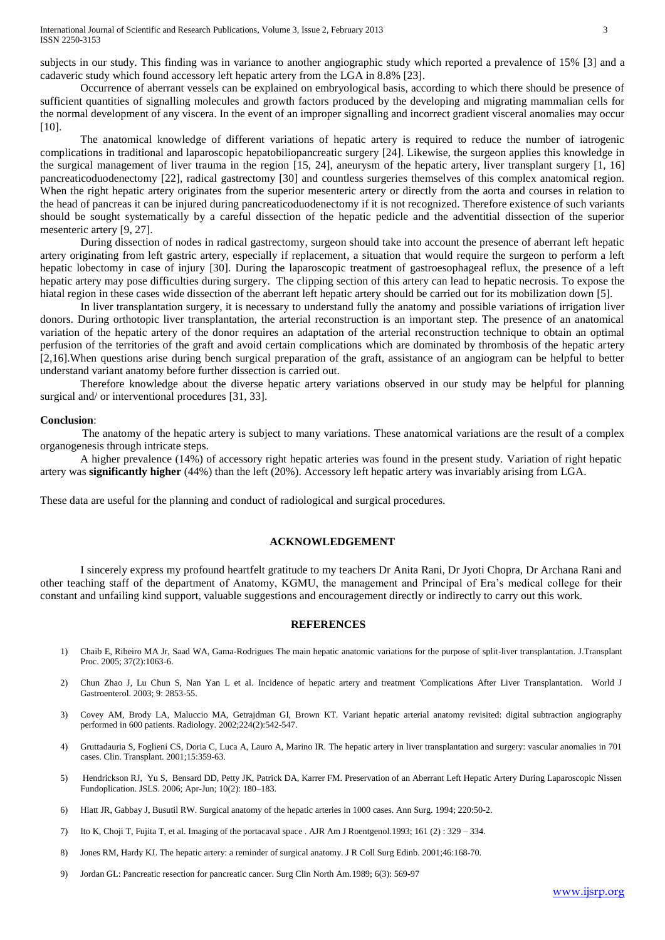subjects in our study. This finding was in variance to another angiographic study which reported a prevalence of 15% [3] and a cadaveric study which found accessory left hepatic artery from the LGA in 8.8% [23].

Occurrence of aberrant vessels can be explained on embryological basis, according to which there should be presence of sufficient quantities of signalling molecules and growth factors produced by the developing and migrating mammalian cells for the normal development of any viscera. In the event of an improper signalling and incorrect gradient visceral anomalies may occur [10].

The anatomical knowledge of different variations of hepatic artery is required to reduce the number of iatrogenic complications in traditional and laparoscopic hepatobiliopancreatic surgery [24]. Likewise, the surgeon applies this knowledge in the surgical management of liver trauma in the region [15, 24], aneurysm of the hepatic artery, liver transplant surgery [1, 16] pancreaticoduodenectomy [22], radical gastrectomy [30] and countless surgeries themselves of this complex anatomical region. When the right hepatic artery originates from the superior mesenteric artery or directly from the aorta and courses in relation to the head of pancreas it can be injured during pancreaticoduodenectomy if it is not recognized. Therefore existence of such variants should be sought systematically by a careful dissection of the hepatic pedicle and the adventitial dissection of the superior mesenteric artery [9, 27].

During dissection of nodes in radical gastrectomy, surgeon should take into account the presence of aberrant left hepatic artery originating from left gastric artery, especially if replacement, a situation that would require the surgeon to perform a left hepatic lobectomy in case of injury [30]. During the laparoscopic treatment of gastroesophageal reflux, the presence of a left hepatic artery may pose difficulties during surgery. The clipping section of this artery can lead to hepatic necrosis. To expose the hiatal region in these cases wide dissection of the aberrant left hepatic artery should be carried out for its mobilization down [5].

In liver transplantation surgery, it is necessary to understand fully the anatomy and possible variations of irrigation liver donors. During orthotopic liver transplantation, the arterial reconstruction is an important step. The presence of an anatomical variation of the hepatic artery of the donor requires an adaptation of the arterial reconstruction technique to obtain an optimal perfusion of the territories of the graft and avoid certain complications which are dominated by thrombosis of the hepatic artery [2,16].When questions arise during bench surgical preparation of the graft, assistance of an angiogram can be helpful to better understand variant anatomy before further dissection is carried out.

Therefore knowledge about the diverse hepatic artery variations observed in our study may be helpful for planning surgical and/ or interventional procedures [31, 33].

#### **Conclusion**:

 The anatomy of the hepatic artery is subject to many variations. These anatomical variations are the result of a complex organogenesis through intricate steps.

A higher prevalence (14%) of accessory right hepatic arteries was found in the present study. Variation of right hepatic artery was **significantly higher** (44%) than the left (20%). Accessory left hepatic artery was invariably arising from LGA.

These data are useful for the planning and conduct of radiological and surgical procedures.

## **ACKNOWLEDGEMENT**

I sincerely express my profound heartfelt gratitude to my teachers Dr Anita Rani, Dr Jyoti Chopra, Dr Archana Rani and other teaching staff of the department of Anatomy, KGMU, the management and Principal of Era's medical college for their constant and unfailing kind support, valuable suggestions and encouragement directly or indirectly to carry out this work.

#### **REFERENCES**

- 1) Chaib E, Ribeiro MA Jr, Saad WA, Gama-Rodrigues [The main hepatic anatomic variations for the purpose of split-liver transplantation.](http://www.ncbi.nlm.nih.gov/pubmed/15848623) J.Transplant Proc. 2005; 37(2):1063-6.
- 2) Chun Zhao J, Lu Chun S, Nan Yan L et al. Incidence of hepatic artery and treatment 'Complications After Liver Transplantation. World J Gastroenterol. 2003; 9: 2853-55.
- 3) Covey AM, Brody LA, Maluccio MA, Getrajdman GI, Brown KT. Variant hepatic arterial anatomy revisited: digital subtraction angiography performed in 600 patients. Radiology. 2002;224(2):542-547.
- 4) Gruttadauria S, Foglieni CS, Doria C, Luca A, Lauro A, Marino IR. The hepatic artery in liver transplantation and surgery: vascular anomalies in 701 cases. Clin. Transplant. 2001;15:359-63.
- 5) [Hendrickson](http://www.ncbi.nlm.nih.gov/sites/entrez?cmd=search&db=PubMed&term=%20Hendrickson%2BRJ%5bauth%5d) RJ[, Yu](http://www.ncbi.nlm.nih.gov/sites/entrez?cmd=search&db=PubMed&term=%20Yu%2BS%5bauth%5d) S[, Bensard](http://www.ncbi.nlm.nih.gov/sites/entrez?cmd=search&db=PubMed&term=%20Bensard%2BDD%5bauth%5d) DD[, Petty](http://www.ncbi.nlm.nih.gov/sites/entrez?cmd=search&db=PubMed&term=%20Petty%2BJK%5bauth%5d) JK[, Patrick](http://www.ncbi.nlm.nih.gov/sites/entrez?cmd=search&db=PubMed&term=%20Patrick%2BDA%5bauth%5d) DA, [Karrer](http://www.ncbi.nlm.nih.gov/sites/entrez?cmd=search&db=PubMed&term=%20Karrer%2BFM%5bauth%5d) FM. Preservation of an Aberrant Left Hepatic Artery During Laparoscopic Nissen Fundoplication. JSLS. 2006; Apr-Jun; 10(2): 180–183.
- 6) Hiatt JR, Gabbay J, Busutil RW. Surgical anatomy of the hepatic arteries in 1000 cases. Ann Surg. 1994; 220:50-2.
- 7) Ito K, Choji T, Fujita T, et al. Imaging of the portacaval space . AJR Am J Roentgenol.1993; 161 (2) : 329 334.
- 8) Jones RM, Hardy KJ. The hepatic artery: a reminder of surgical anatomy. J R Coll Surg Edinb. 2001;46:168-70.
- 9) Jordan GL: Pancreatic resection for pancreatic cancer. Surg Clin North Am.1989; 6(3): 569-97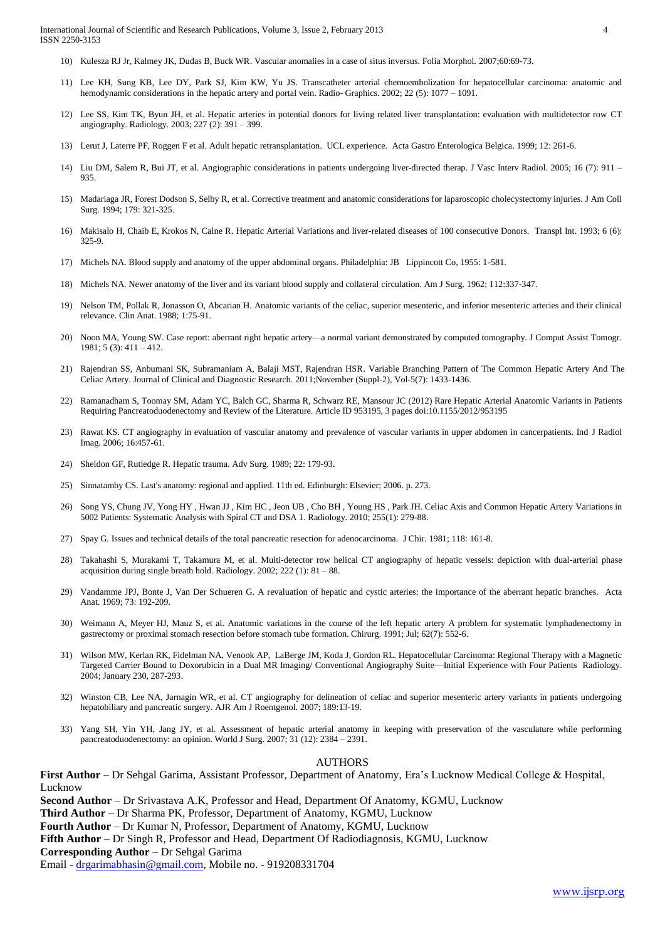International Journal of Scientific and Research Publications, Volume 3, Issue 2, February 2013 4 ISSN 2250-3153

- 10) Kulesza RJ Jr, Kalmey JK, Dudas B, Buck WR. Vascular anomalies in a case of situs inversus. Folia Morphol. 2007;60:69-73.
- 11) Lee KH, Sung KB, Lee DY, Park SJ, Kim KW, Yu JS. Transcatheter arterial chemoembolization for hepatocellular carcinoma: anatomic and hemodynamic considerations in the hepatic artery and portal vein. Radio- Graphics. 2002; 22 (5): 1077 – 1091.
- 12) Lee SS, Kim TK, Byun JH, et al. Hepatic arteries in potential donors for living related liver transplantation: evaluation with multidetector row CT angiography. Radiology. 2003; 227 (2): 391 – 399.
- 13) Lerut J, Laterre PF, Roggen F et al. Adult hepatic retransplantation. UCL experience. Acta Gastro Enterologica Belgica. 1999; 12: 261-6.
- 14) Liu DM, Salem R, Bui JT, et al. Angiographic considerations in patients undergoing liver-directed therap. J Vasc Interv Radiol. 2005; 16 (7): 911 935.
- 15) Madariaga JR, Forest Dodson S, Selby R, et al. Corrective treatment and anatomic considerations for laparoscopic cholecystectomy injuries. J Am Coll Surg. 1994; 179: 321-325.
- 16) Makisalo H, Chaib E, Krokos N, Calne R. Hepatic Arterial Variations and liver-related diseases of 100 consecutive Donors. Transpl Int. 1993; 6 (6): 325-9.
- 17) Michels NA. Blood supply and anatomy of the upper abdominal organs. Philadelphia: JB Lippincott Co, 1955: 1-581.
- 18) Michels NA. Newer anatomy of the liver and its variant blood supply and collateral circulation. Am J Surg. 1962; 112:337-347.
- 19) Nelson TM, Pollak R, Jonasson O, Abcarian H. Anatomic variants of the celiac, superior mesenteric, and inferior mesenteric arteries and their clinical relevance. Clin Anat. 1988; 1:75-91.
- 20) Noon MA, Young SW. Case report: aberrant right hepatic artery—a normal variant demonstrated by computed tomography. J Comput Assist Tomogr. 1981; 5 (3): 411 – 412.
- 21) Rajendran SS, Anbumani SK, Subramaniam A, Balaji MST, Rajendran HSR. Variable Branching Pattern of The Common Hepatic Artery And The Celiac Artery. Journal of Clinical and Diagnostic Research. 2011;November (Suppl-2), Vol-5(7): 1433-1436.
- 22) Ramanadham S, Toomay SM, Adam YC, Balch GC, Sharma R, Schwarz RE, Mansour JC (2012) Rare Hepatic Arterial Anatomic Variants in Patients Requiring Pancreatoduodenectomy and Review of the Literature. Article ID 953195, 3 pages doi:10.1155/2012/953195
- 23) Rawat KS. CT angiography in evaluation of vascular anatomy and prevalence of vascular variants in upper abdomen in cancerpatients. Ind J Radiol Imag. 2006; 16:457-61.
- 24) Sheldon GF, Rutledge R. Hepatic trauma. Adv Surg. 1989; 22: 179-93**.**
- 25) Sinnatamby CS. Last's anatomy: regional and applied. 11th ed. Edinburgh: Elsevier; 2006. p. 273.
- 26) Song YS, Chung JV, Yong HY , Hwan JJ , Kim HC , Jeon UB , Cho BH , Young HS , Park JH. Celiac Axis and Common Hepatic Artery Variations in 5002 Patients: Systematic Analysis with Spiral CT and DSA 1. Radiology. 2010; 255(1): 279-88.
- 27) Spay G. Issues and technical details of the total pancreatic resection for adenocarcinoma. J Chir. 1981; 118: 161-8.
- 28) Takahashi S, Murakami T, Takamura M, et al. Multi-detector row helical CT angiography of hepatic vessels: depiction with dual-arterial phase acquisition during single breath hold. Radiology.  $2002$ ;  $222$  (1):  $81 - 88$ .
- 29) Vandamme JPJ, Bonte J, Van Der Schueren G. A revaluation of hepatic and cystic arteries: the importance of the aberrant hepatic branches. Acta Anat. 1969; 73: 192-209.
- 30) Weimann A, Meyer HJ, Mauz S, et al. Anatomic variations in the course of the left hepatic artery A problem for systematic lymphadenectomy in gastrectomy or proximal stomach resection before stomach tube formation. Chirurg. 1991; Jul; 62(7): 552-6.
- 31) [Wilson](http://radiology.rsna.org/search?author1=Mark+W.+Wilson&sortspec=date&submit=Submit) MW, [Kerlan RK,](http://radiology.rsna.org/search?author1=Robert+K.+Kerlan+Jr&sortspec=date&submit=Submit) [Fidelman](http://radiology.rsna.org/search?author1=Nicholas+A.+Fidelman&sortspec=date&submit=Submit) NA[, Venook](http://radiology.rsna.org/search?author1=Alan+P.+Venook&sortspec=date&submit=Submit) AP[, LaBerge](http://radiology.rsna.org/search?author1=Jeanne+M.+LaBerge&sortspec=date&submit=Submit) JM, [Koda](http://radiology.rsna.org/search?author1=Joy+Koda&sortspec=date&submit=Submit) J, [Gordon](http://radiology.rsna.org/search?author1=Roy+L.+Gordon&sortspec=date&submit=Submit) RL. Hepatocellular Carcinoma: Regional Therapy with a Magnetic Targeted Carrier Bound to Doxorubicin in a Dual MR Imaging/ Conventional Angiography Suite—Initial Experience with Four Patients Radiology. 2004; January 230, 287-293.
- 32) Winston CB, Lee NA, Jarnagin WR, et al. CT angiography for delineation of celiac and superior mesenteric artery variants in patients undergoing hepatobiliary and pancreatic surgery. AJR Am J Roentgenol. 2007; 189:13-19.
- 33) Yang SH, Yin YH, Jang JY, et al. Assessment of hepatic arterial anatomy in keeping with preservation of the vasculature while performing pancreatoduodenectomy: an opinion. World J Surg. 2007; 31 (12): 2384 – 2391.

#### AUTHORS

**First Author** – Dr Sehgal Garima, Assistant Professor, Department of Anatomy, Era's Lucknow Medical College & Hospital, **Lucknow** 

**Second Author** – Dr Srivastava A.K, Professor and Head, Department Of Anatomy, KGMU, Lucknow

**Third Author** – Dr Sharma PK, Professor, Department of Anatomy, KGMU, Lucknow

**Fourth Author** – Dr Kumar N, Professor, Department of Anatomy, KGMU, Lucknow

**Fifth Author** – Dr Singh R, Professor and Head, Department Of Radiodiagnosis, KGMU, Lucknow

**Corresponding Author** – Dr Sehgal Garima

Email - [drgarimabhasin@gmail.com,](mailto:drgarimabhasin@gmail.com) Mobile no. - 919208331704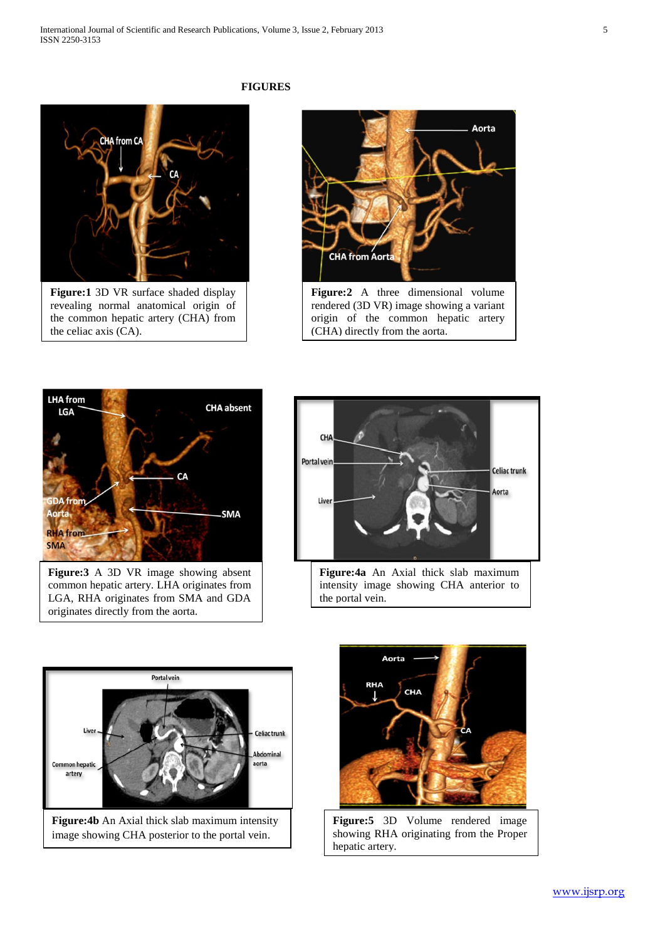

revealing normal anatomical origin of the common hepatic artery (CHA) from the celiac axis (CA).

#### **FIGURES**





**Figure:3** A 3D VR image showing absent common hepatic artery. LHA originates from LGA, RHA originates from SMA and GDA originates directly from the aorta.







**Figure:5** 3D Volume rendered image showing RHA originating from the Proper hepatic artery.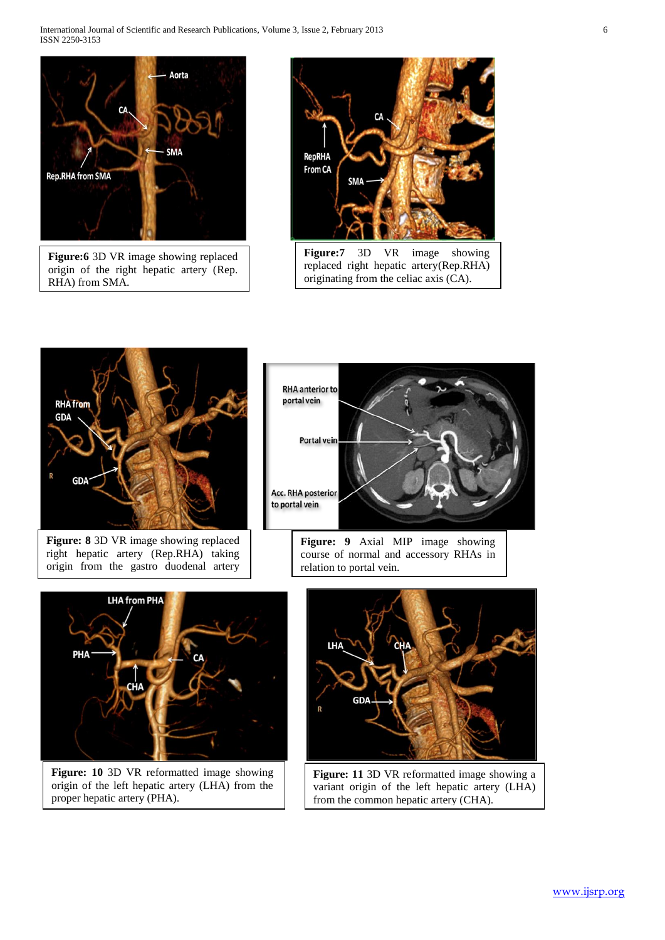International Journal of Scientific and Research Publications, Volume 3, Issue 2, February 2013 6 ISSN 2250-3153



**Figure:6** 3D VR image showing replaced origin of the right hepatic artery (Rep. RHA) from SMA.





**Figure: 8** 3D VR image showing replaced right hepatic artery (Rep.RHA) taking origin from the gastro duodenal artery

(GDA).



**Figure: 9** Axial MIP image showing course of normal and accessory RHAs in relation to portal vein.



**Figure: 10** 3D VR reformatted image showing origin of the left hepatic artery (LHA) from the proper hepatic artery (PHA).



**Figure: 11** 3D VR reformatted image showing a variant origin of the left hepatic artery (LHA) from the common hepatic artery (CHA).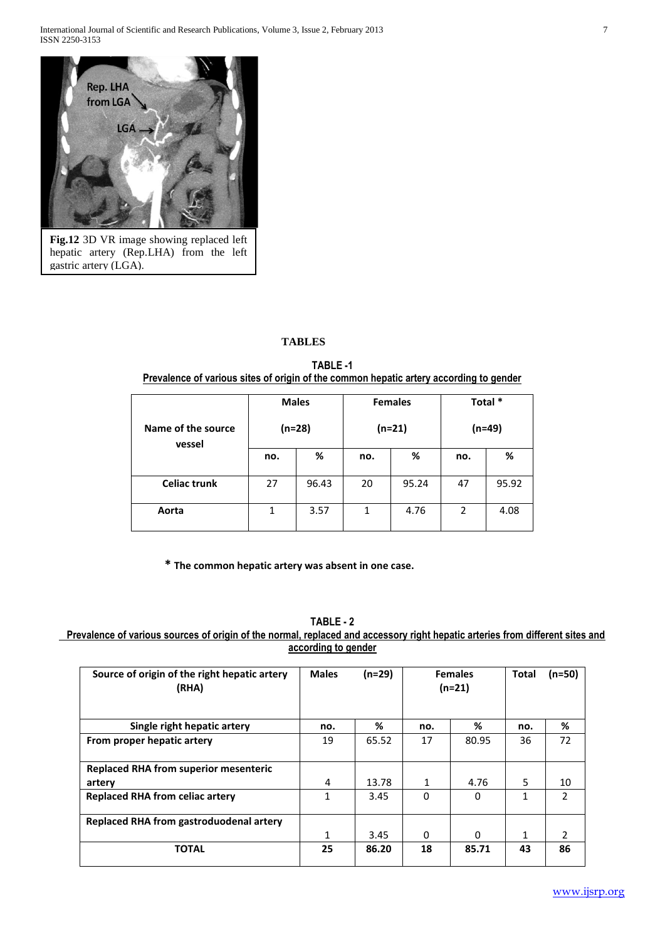

**Fig.12** 3D VR image showing replaced left hepatic artery (Rep.LHA) from the left gastric artery (LGA).

# **TABLES**

**TABLE -1 Prevalence of various sites of origin of the common hepatic artery according to gender**

| Name of the source<br>vessel | <b>Males</b><br>$(n=28)$ |       |     | <b>Females</b><br>(n=21) | Total *<br>(n=49) |       |
|------------------------------|--------------------------|-------|-----|--------------------------|-------------------|-------|
|                              | no.                      | %     | no. | %                        | no.               | %     |
| <b>Celiac trunk</b>          | 27                       | 96.43 | 20  | 95.24                    | 47                | 95.92 |
| Aorta                        | 1                        | 3.57  | 1   | 4.76                     | 2                 | 4.08  |

 **\* The common hepatic artery was absent in one case.**

## **TABLE - 2**

 **Prevalence of various sources of origin of the normal, replaced and accessory right hepatic arteries from different sites and according to gender** 

| Source of origin of the right hepatic artery<br>(RHA) | <b>Males</b> | (n=29) | <b>Females</b><br>$(n=21)$ |          | Total | (n=50)        |
|-------------------------------------------------------|--------------|--------|----------------------------|----------|-------|---------------|
| Single right hepatic artery                           | no.          | %      | no.                        | %        | no.   | %             |
| From proper hepatic artery                            | 19           | 65.52  | 17                         | 80.95    | 36    | 72            |
| <b>Replaced RHA from superior mesenteric</b>          |              |        |                            |          |       |               |
| artery                                                | 4            | 13.78  | 1                          | 4.76     | 5     | 10            |
| <b>Replaced RHA from celiac artery</b>                | 1            | 3.45   | 0                          | 0        | 1     | $\mathcal{P}$ |
| <b>Replaced RHA from gastroduodenal artery</b>        |              |        |                            |          |       |               |
|                                                       | $\mathbf{1}$ | 3.45   | 0                          | $\Omega$ | 1     | 2             |
| <b>TOTAL</b>                                          | 25           | 86.20  | 18                         | 85.71    | 43    | 86            |